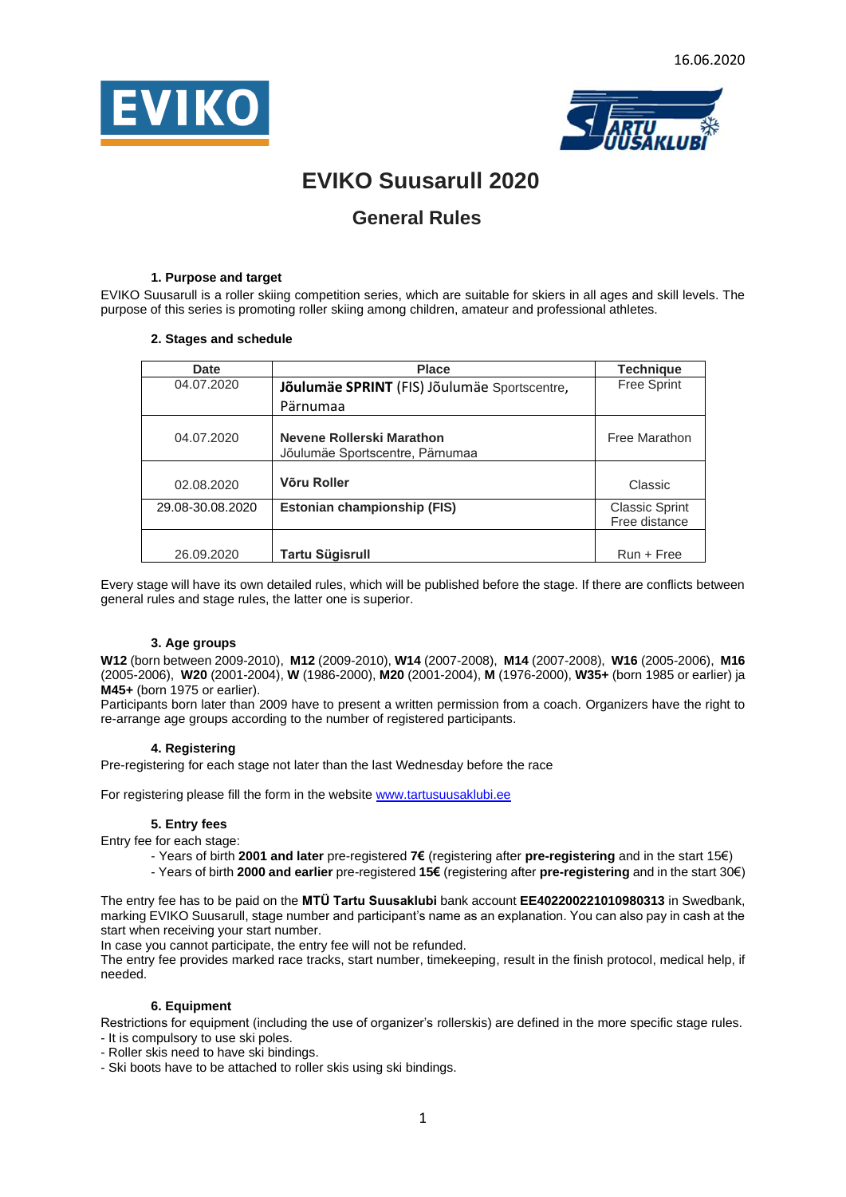



# **EVIKO Suusarull 2020**

## **General Rules**

## **1. Purpose and target**

EVIKO Suusarull is a roller skiing competition series, which are suitable for skiers in all ages and skill levels. The purpose of this series is promoting roller skiing among children, amateur and professional athletes.

## **2. Stages and schedule**

| <b>Date</b>      | <b>Place</b>                                                 | <b>Technique</b>                       |
|------------------|--------------------------------------------------------------|----------------------------------------|
| 04.07.2020       | Jõulumäe SPRINT (FIS) Jõulumäe Sportscentre,                 | <b>Free Sprint</b>                     |
|                  | Pärnumaa                                                     |                                        |
| 04.07.2020       | Nevene Rollerski Marathon<br>Jõulumäe Sportscentre, Pärnumaa | Free Marathon                          |
| 02.08.2020       | Võru Roller                                                  | Classic                                |
| 29.08-30.08.2020 | Estonian championship (FIS)                                  | <b>Classic Sprint</b><br>Free distance |
| 26.09.2020       | Tartu Sügisrull                                              | $Run + Free$                           |

Every stage will have its own detailed rules, which will be published before the stage. If there are conflicts between general rules and stage rules, the latter one is superior.

## **3. Age groups**

**W12** (born between 2009-2010), **M12** (2009-2010), **W14** (2007-2008), **M14** (2007-2008), **W16** (2005-2006), **M16**  (2005-2006), **W20** (2001-2004), **W** (1986-2000), **M20** (2001-2004), **M** (1976-2000), **W35+** (born 1985 or earlier) ja **M45+** (born 1975 or earlier).

Participants born later than 2009 have to present a written permission from a coach. Organizers have the right to re-arrange age groups according to the number of registered participants.

## **4. Registering**

Pre-registering for each stage not later than the last Wednesday before the race

For registering please fill the form in the websit[e www.tartusuusaklubi.ee](http://tartusuusaklubi.ee/eviko-suusarull-2018/)

## **5. Entry fees**

Entry fee for each stage:

- Years of birth **2001 and later** pre-registered **7€** (registering after **pre-registering** and in the start 15€)
- Years of birth **2000 and earlier** pre-registered **15€** (registering after **pre-registering** and in the start 30€)

The entry fee has to be paid on the **MTÜ Tartu Suusaklubi** bank account **EE402200221010980313** in Swedbank, marking EVIKO Suusarull, stage number and participant's name as an explanation. You can also pay in cash at the start when receiving your start number.

In case you cannot participate, the entry fee will not be refunded.

The entry fee provides marked race tracks, start number, timekeeping, result in the finish protocol, medical help, if needed.

## **6. Equipment**

Restrictions for equipment (including the use of organizer's rollerskis) are defined in the more specific stage rules. - It is compulsory to use ski poles.

- Roller skis need to have ski bindings.

- Ski boots have to be attached to roller skis using ski bindings.